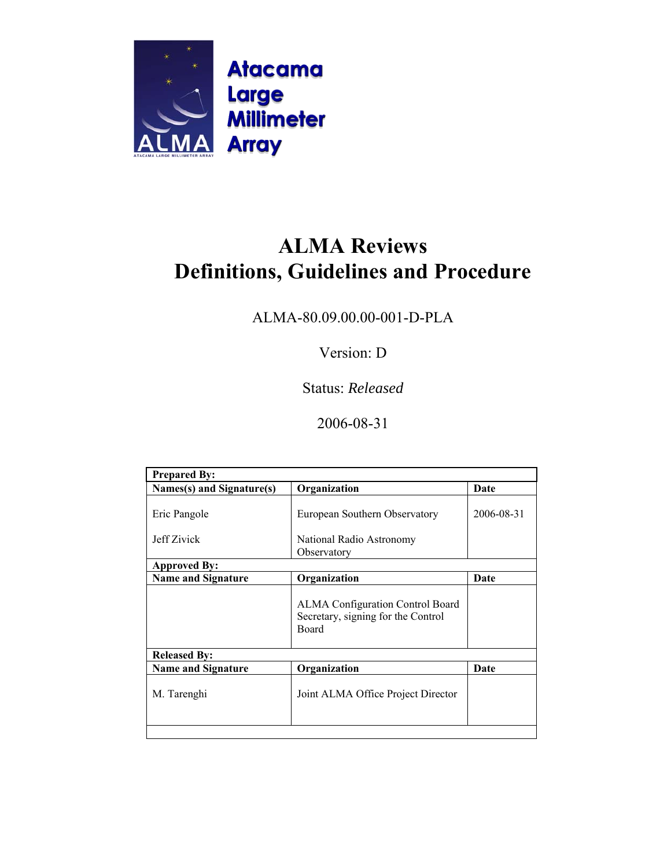

ALMA-80.09.00.00-001-D-PLA

Version: D

Status: *Released*

2006-08-31

| <b>Prepared By:</b>       |                                                                                               |            |  |
|---------------------------|-----------------------------------------------------------------------------------------------|------------|--|
| Names(s) and Signature(s) | Organization                                                                                  | Date       |  |
|                           |                                                                                               |            |  |
| Eric Pangole              | European Southern Observatory                                                                 | 2006-08-31 |  |
|                           |                                                                                               |            |  |
| Jeff Zivick               | National Radio Astronomy                                                                      |            |  |
|                           | Observatory                                                                                   |            |  |
| <b>Approved By:</b>       |                                                                                               |            |  |
| <b>Name and Signature</b> | Organization                                                                                  | Date       |  |
|                           | <b>ALMA Configuration Control Board</b><br>Secretary, signing for the Control<br><b>Board</b> |            |  |
| <b>Released By:</b>       |                                                                                               |            |  |
| <b>Name and Signature</b> | Organization                                                                                  | Date       |  |
| M. Tarenghi               | Joint ALMA Office Project Director                                                            |            |  |
|                           |                                                                                               |            |  |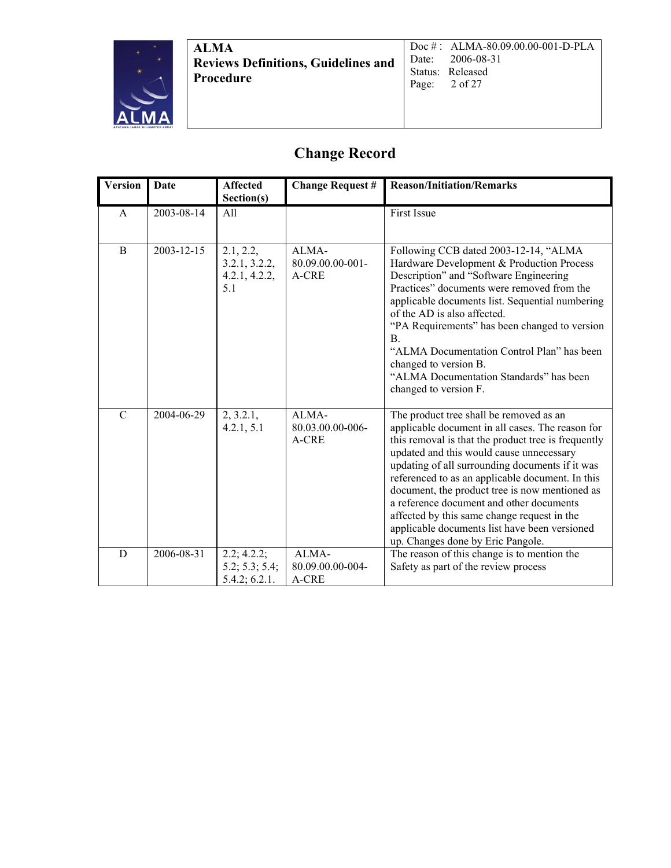

Doc # : ALMA-80.09.00.00-001-D-PLA Date: 2006-08-31 Status: Released<br>Page: 2 of 27 2 of 27

## **Change Record**

| <b>Version</b> | <b>Date</b> | <b>Affected</b><br>Section(s)                      | <b>Change Request #</b>            | <b>Reason/Initiation/Remarks</b>                                                                                                                                                                                                                                                                                                                                                                                                                                                                                                         |
|----------------|-------------|----------------------------------------------------|------------------------------------|------------------------------------------------------------------------------------------------------------------------------------------------------------------------------------------------------------------------------------------------------------------------------------------------------------------------------------------------------------------------------------------------------------------------------------------------------------------------------------------------------------------------------------------|
| A              | 2003-08-14  | All                                                |                                    | First Issue                                                                                                                                                                                                                                                                                                                                                                                                                                                                                                                              |
| $\overline{B}$ | 2003-12-15  | 2.1, 2.2,<br>3.2.1, 3.2.2,<br>4.2.1, 4.2.2,<br>5.1 | ALMA-<br>80.09.00.00-001-<br>A-CRE | Following CCB dated 2003-12-14, "ALMA<br>Hardware Development & Production Process<br>Description" and "Software Engineering<br>Practices" documents were removed from the<br>applicable documents list. Sequential numbering<br>of the AD is also affected.<br>"PA Requirements" has been changed to version<br>B.<br>"ALMA Documentation Control Plan" has been<br>changed to version B.<br>"ALMA Documentation Standards" has been<br>changed to version F.                                                                           |
| $\mathcal{C}$  | 2004-06-29  | 2, 3.2.1,<br>4.2.1, 5.1                            | ALMA-<br>80.03.00.00-006-<br>A-CRE | The product tree shall be removed as an<br>applicable document in all cases. The reason for<br>this removal is that the product tree is frequently<br>updated and this would cause unnecessary<br>updating of all surrounding documents if it was<br>referenced to as an applicable document. In this<br>document, the product tree is now mentioned as<br>a reference document and other documents<br>affected by this same change request in the<br>applicable documents list have been versioned<br>up. Changes done by Eric Pangole. |
| D              | 2006-08-31  | 2.2; 4.2.2;<br>5.2; 5.3; 5.4;<br>5.4.2; 6.2.1.     | ALMA-<br>80.09.00.00-004-<br>A-CRE | The reason of this change is to mention the<br>Safety as part of the review process                                                                                                                                                                                                                                                                                                                                                                                                                                                      |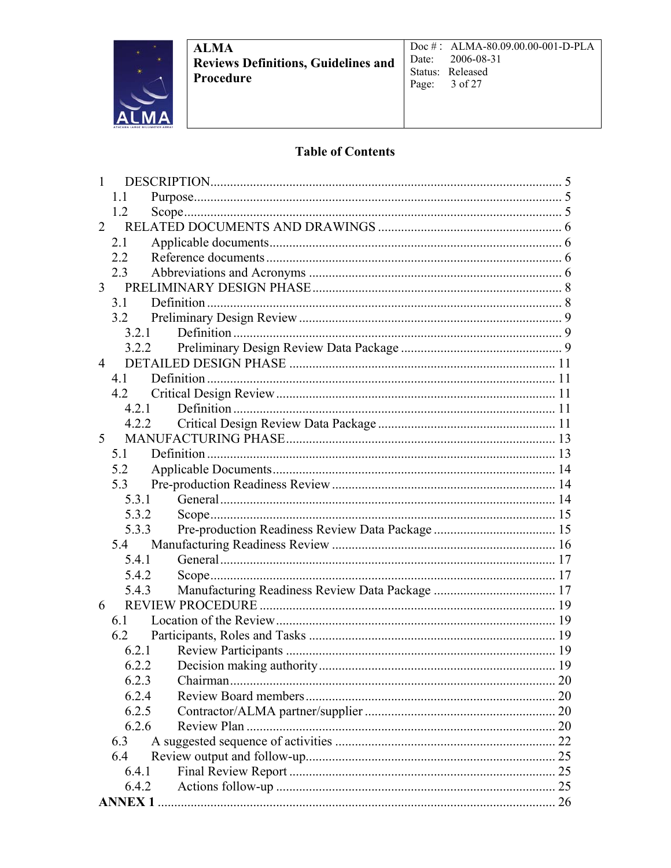

Doc#: ALMA-80.09.00.00-001-D-PLA 2006-08-31 Date: Status: Released Page: 3 of 27

### **Table of Contents**

| 1              |               |                                       |  |
|----------------|---------------|---------------------------------------|--|
|                | 11            |                                       |  |
|                | 1.2           |                                       |  |
| $\mathcal{L}$  |               |                                       |  |
|                | 2.1           |                                       |  |
|                | 2.2           |                                       |  |
|                | 2.3           |                                       |  |
|                |               |                                       |  |
|                | 31            |                                       |  |
|                | 3.2           |                                       |  |
|                | 3 2 1         |                                       |  |
|                | 3.2.2         |                                       |  |
| $\overline{4}$ |               |                                       |  |
|                | 41            |                                       |  |
|                | 42            |                                       |  |
|                | 4.2.1         |                                       |  |
|                | 4.2.2         |                                       |  |
| 5 <sup>5</sup> |               |                                       |  |
|                | 5.1           |                                       |  |
|                | 5.2           |                                       |  |
|                | 5.3           |                                       |  |
|                | 5.3.1         |                                       |  |
|                | 5.3.2         |                                       |  |
|                | 5.3.3         |                                       |  |
|                |               |                                       |  |
|                | 5.4.1         |                                       |  |
|                | 5.4.2         |                                       |  |
|                | 5.4.3         |                                       |  |
| 6              |               |                                       |  |
|                | 6.1           |                                       |  |
|                |               |                                       |  |
|                | 6.2.1         |                                       |  |
|                |               | 6.2.2 Decision making authority<br>19 |  |
|                | 6.2.3         |                                       |  |
|                | 6.2.4         |                                       |  |
|                | 6.2.5         |                                       |  |
|                | 6.2.6         |                                       |  |
|                | 6.3           |                                       |  |
|                | 6.4           |                                       |  |
|                | 6.4.1         |                                       |  |
|                | 6.4.2         |                                       |  |
|                | <b>ANNEX1</b> |                                       |  |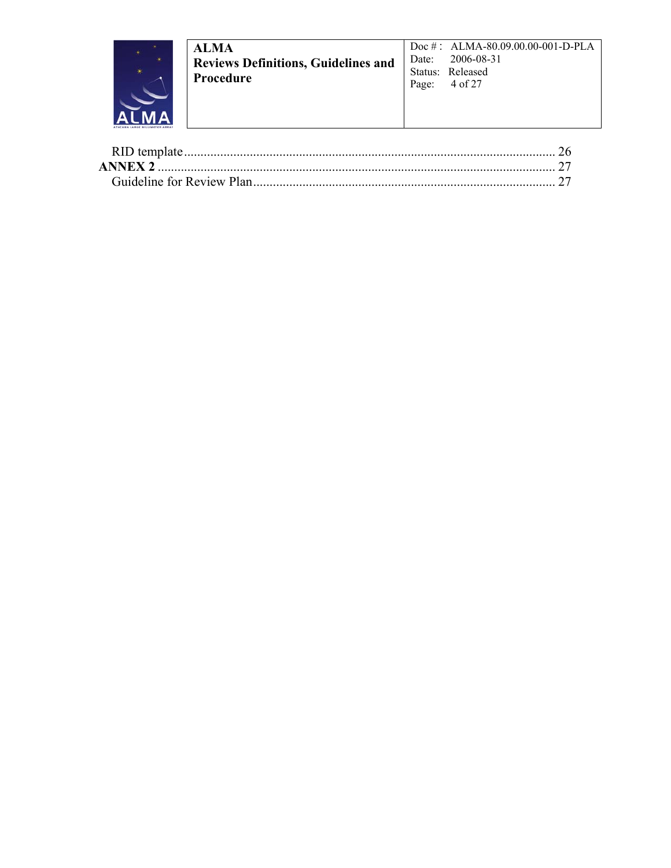

Doc#: ALMA-80.09.00.00-001-D-PLA 2006-08-31 Date: Status: Released Page: 4 of 27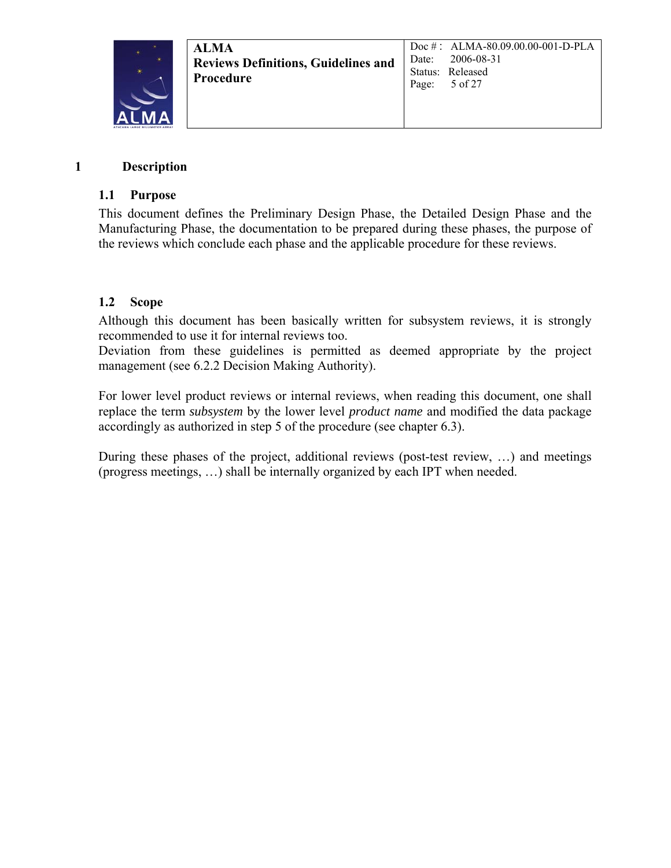

#### **1 Description**

#### **1.1 Purpose**

This document defines the Preliminary Design Phase, the Detailed Design Phase and the Manufacturing Phase, the documentation to be prepared during these phases, the purpose of the reviews which conclude each phase and the applicable procedure for these reviews.

### **1.2 Scope**

Although this document has been basically written for subsystem reviews, it is strongly recommended to use it for internal reviews too.

Deviation from these guidelines is permitted as deemed appropriate by the project management (see 6.2.2 Decision Making Authority).

For lower level product reviews or internal reviews, when reading this document, one shall replace the term *subsystem* by the lower level *product name* and modified the data package accordingly as authorized in step 5 of the procedure (see chapter 6.3).

During these phases of the project, additional reviews (post-test review, …) and meetings (progress meetings, …) shall be internally organized by each IPT when needed.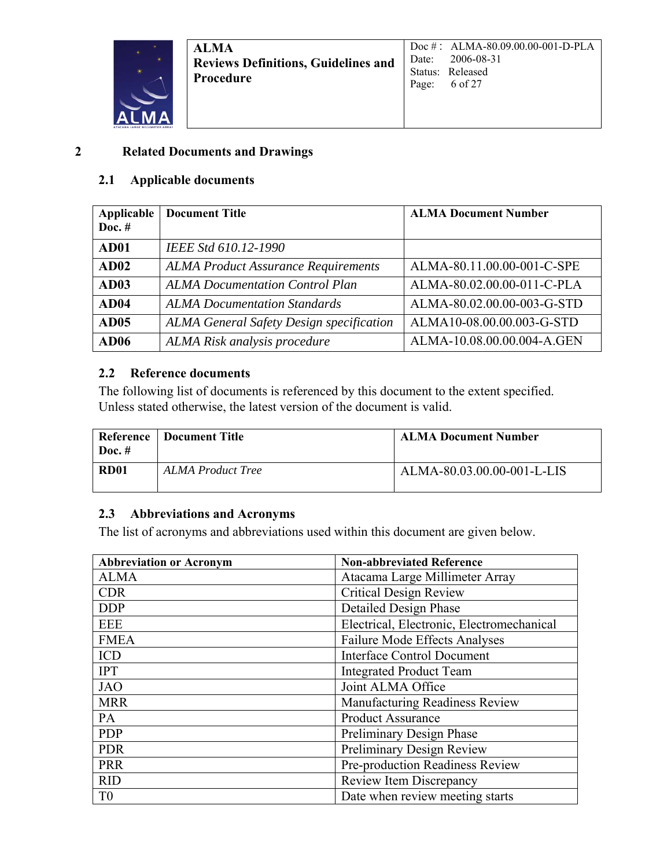

#### **2 Related Documents and Drawings**

#### **2.1 Applicable documents**

| Applicable<br>Doc. $#$ | <b>Document Title</b>                           | <b>ALMA Document Number</b> |
|------------------------|-------------------------------------------------|-----------------------------|
| AD01                   | IEEE Std 610.12-1990                            |                             |
| AD02                   | <b>ALMA Product Assurance Requirements</b>      | ALMA-80.11.00.00-001-C-SPE  |
| AD03                   | <b>ALMA Documentation Control Plan</b>          | ALMA-80.02.00.00-011-C-PLA  |
| AD <sub>04</sub>       | <b>ALMA Documentation Standards</b>             | ALMA-80.02.00.00-003-G-STD  |
| AD05                   | <b>ALMA General Safety Design specification</b> | ALMA10-08.00.00.003-G-STD   |
| AD06                   | ALMA Risk analysis procedure                    | ALMA-10.08.00.00.004-A.GEN  |

### **2.2 Reference documents**

The following list of documents is referenced by this document to the extent specified. Unless stated otherwise, the latest version of the document is valid.

| Reference<br>Doc. $#$ | Document Title    | <b>ALMA Document Number</b> |
|-----------------------|-------------------|-----------------------------|
| <b>RD01</b>           | ALMA Product Tree | ALMA-80.03.00.00-001-L-LIS  |

### **2.3 Abbreviations and Acronyms**

The list of acronyms and abbreviations used within this document are given below.

| <b>Abbreviation or Acronym</b> | <b>Non-abbreviated Reference</b>          |
|--------------------------------|-------------------------------------------|
| <b>ALMA</b>                    | Atacama Large Millimeter Array            |
| <b>CDR</b>                     | <b>Critical Design Review</b>             |
| <b>DDP</b>                     | <b>Detailed Design Phase</b>              |
| <b>EEE</b>                     | Electrical, Electronic, Electromechanical |
| <b>FMEA</b>                    | <b>Failure Mode Effects Analyses</b>      |
| <b>ICD</b>                     | <b>Interface Control Document</b>         |
| <b>IPT</b>                     | <b>Integrated Product Team</b>            |
| <b>JAO</b>                     | Joint ALMA Office                         |
| <b>MRR</b>                     | Manufacturing Readiness Review            |
| PA                             | <b>Product Assurance</b>                  |
| <b>PDP</b>                     | Preliminary Design Phase                  |
| <b>PDR</b>                     | Preliminary Design Review                 |
| <b>PRR</b>                     | Pre-production Readiness Review           |
| <b>RID</b>                     | Review Item Discrepancy                   |
| T <sub>0</sub>                 | Date when review meeting starts           |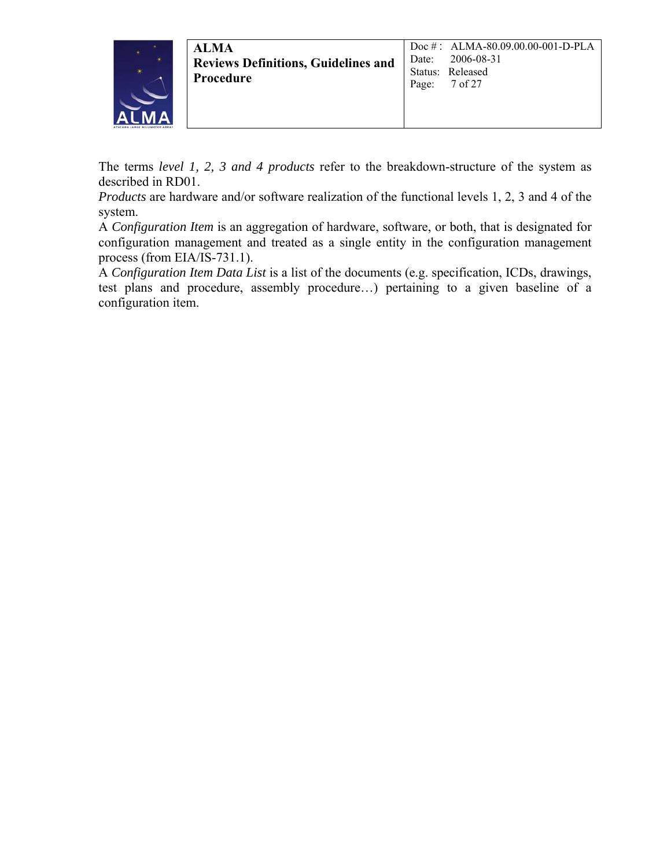

The terms *level 1, 2, 3 and 4 products* refer to the breakdown-structure of the system as described in RD01.

*Products* are hardware and/or software realization of the functional levels 1, 2, 3 and 4 of the system.

A *Configuration Item* is an aggregation of hardware, software, or both, that is designated for configuration management and treated as a single entity in the configuration management process (from EIA/IS-731.1).

A *Configuration Item Data List* is a list of the documents (e.g. specification, ICDs, drawings, test plans and procedure, assembly procedure…) pertaining to a given baseline of a configuration item.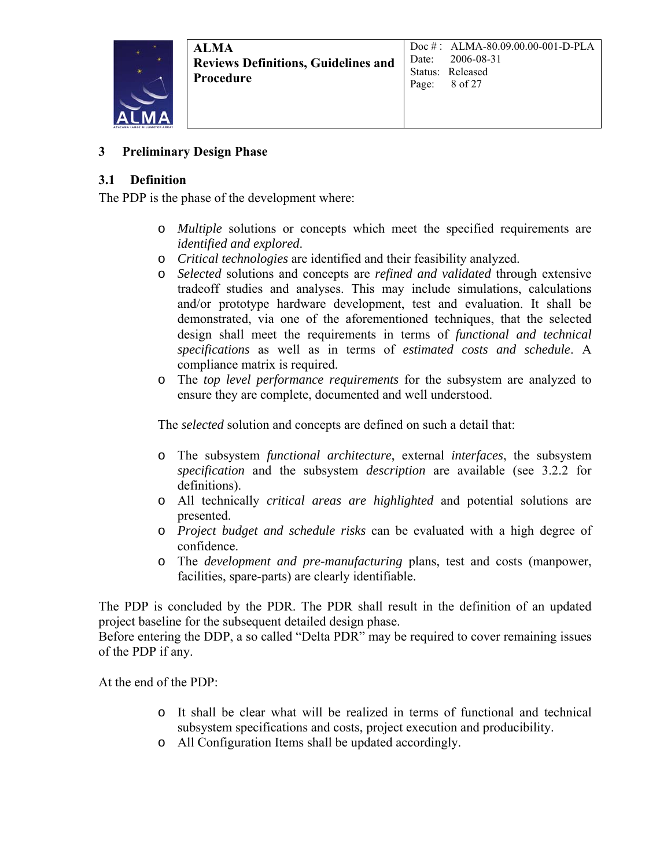

#### **3 Preliminary Design Phase**

#### **3.1 Definition**

The PDP is the phase of the development where:

- o *Multiple* solutions or concepts which meet the specified requirements are *identified and explored*.
- o *Critical technologies* are identified and their feasibility analyzed.
- o *Selected* solutions and concepts are *refined and validated* through extensive tradeoff studies and analyses. This may include simulations, calculations and/or prototype hardware development, test and evaluation. It shall be demonstrated, via one of the aforementioned techniques, that the selected design shall meet the requirements in terms of *functional and technical specifications* as well as in terms of *estimated costs and schedule*. A compliance matrix is required.
- o The *top level performance requirements* for the subsystem are analyzed to ensure they are complete, documented and well understood.

The *selected* solution and concepts are defined on such a detail that:

- o The subsystem *functional architecture*, external *interfaces*, the subsystem *specification* and the subsystem *description* are available (see 3.2.2 for definitions).
- o All technically *critical areas are highlighted* and potential solutions are presented.
- o *Project budget and schedule risks* can be evaluated with a high degree of confidence.
- o The *development and pre-manufacturing* plans, test and costs (manpower, facilities, spare-parts) are clearly identifiable.

The PDP is concluded by the PDR. The PDR shall result in the definition of an updated project baseline for the subsequent detailed design phase.

Before entering the DDP, a so called "Delta PDR" may be required to cover remaining issues of the PDP if any.

At the end of the PDP:

- o It shall be clear what will be realized in terms of functional and technical subsystem specifications and costs, project execution and producibility.
- o All Configuration Items shall be updated accordingly.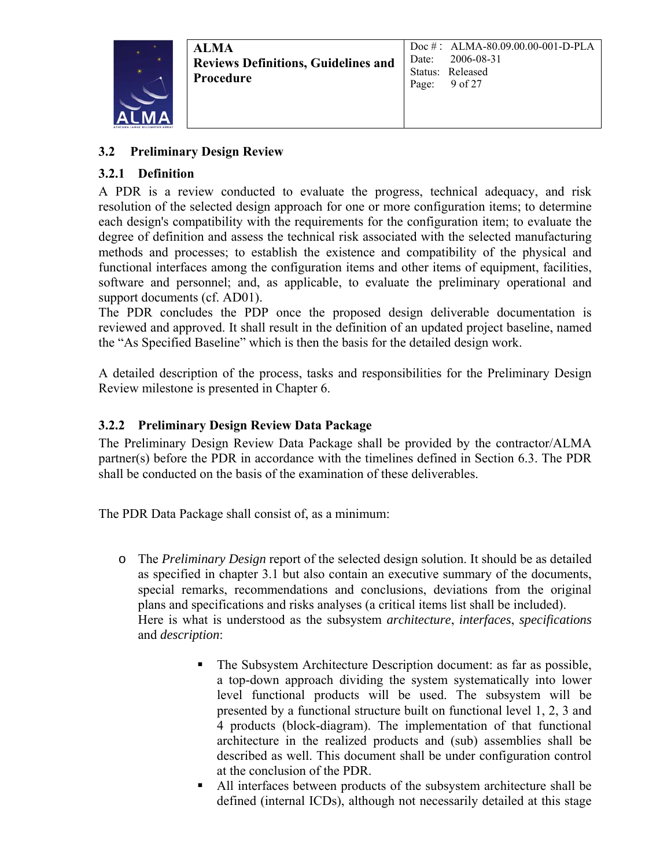

### **3.2 Preliminary Design Review**

### **3.2.1 Definition**

A PDR is a review conducted to evaluate the progress, technical adequacy, and risk resolution of the selected design approach for one or more configuration items; to determine each design's compatibility with the requirements for the configuration item; to evaluate the degree of definition and assess the technical risk associated with the selected manufacturing methods and processes; to establish the existence and compatibility of the physical and functional interfaces among the configuration items and other items of equipment, facilities, software and personnel; and, as applicable, to evaluate the preliminary operational and support documents (cf. AD01).

The PDR concludes the PDP once the proposed design deliverable documentation is reviewed and approved. It shall result in the definition of an updated project baseline, named the "As Specified Baseline" which is then the basis for the detailed design work.

A detailed description of the process, tasks and responsibilities for the Preliminary Design Review milestone is presented in Chapter 6.

### **3.2.2 Preliminary Design Review Data Package**

The Preliminary Design Review Data Package shall be provided by the contractor/ALMA partner(s) before the PDR in accordance with the timelines defined in Section 6.3. The PDR shall be conducted on the basis of the examination of these deliverables.

The PDR Data Package shall consist of, as a minimum:

- o The *Preliminary Design* report of the selected design solution. It should be as detailed as specified in chapter 3.1 but also contain an executive summary of the documents, special remarks, recommendations and conclusions, deviations from the original plans and specifications and risks analyses (a critical items list shall be included). Here is what is understood as the subsystem *architecture*, *interfaces*, *specifications* and *description*:
	- The Subsystem Architecture Description document: as far as possible, a top-down approach dividing the system systematically into lower level functional products will be used. The subsystem will be presented by a functional structure built on functional level 1, 2, 3 and 4 products (block-diagram). The implementation of that functional architecture in the realized products and (sub) assemblies shall be described as well. This document shall be under configuration control at the conclusion of the PDR.
	- All interfaces between products of the subsystem architecture shall be defined (internal ICDs), although not necessarily detailed at this stage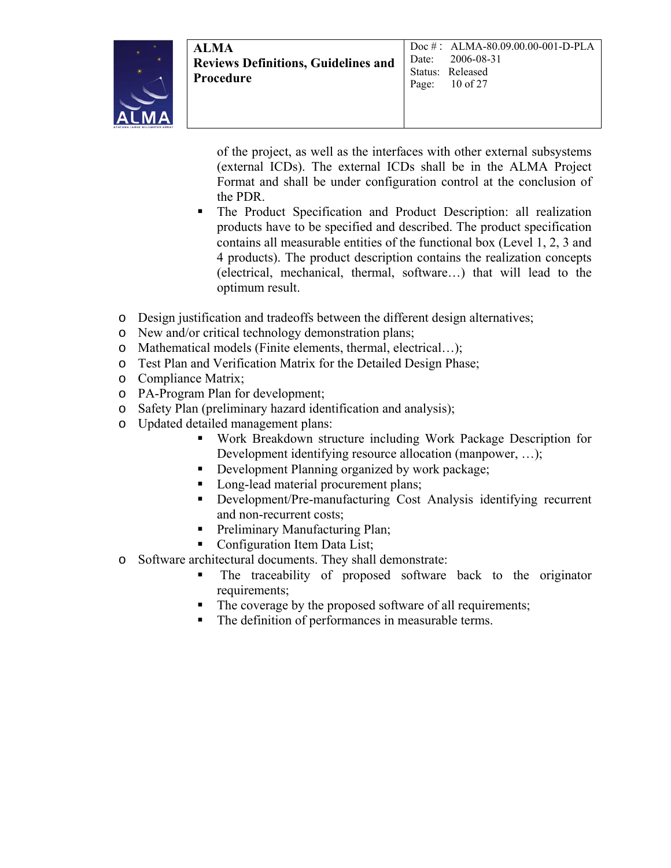

of the project, as well as the interfaces with other external subsystems (external ICDs). The external ICDs shall be in the ALMA Project Format and shall be under configuration control at the conclusion of the PDR.

- The Product Specification and Product Description: all realization products have to be specified and described. The product specification contains all measurable entities of the functional box (Level 1, 2, 3 and 4 products). The product description contains the realization concepts (electrical, mechanical, thermal, software…) that will lead to the optimum result.
- o Design justification and tradeoffs between the different design alternatives;
- o New and/or critical technology demonstration plans;
- o Mathematical models (Finite elements, thermal, electrical…);
- o Test Plan and Verification Matrix for the Detailed Design Phase;
- o Compliance Matrix;
- o PA-Program Plan for development;
- o Safety Plan (preliminary hazard identification and analysis);
- o Updated detailed management plans:
	- Work Breakdown structure including Work Package Description for Development identifying resource allocation (manpower, …);
	- Development Planning organized by work package;
	- Long-lead material procurement plans;
	- Development/Pre-manufacturing Cost Analysis identifying recurrent and non-recurrent costs;
	- Preliminary Manufacturing Plan;
	- Configuration Item Data List;
- o Software architectural documents. They shall demonstrate:
	- The traceability of proposed software back to the originator requirements;
	- The coverage by the proposed software of all requirements;
	- The definition of performances in measurable terms.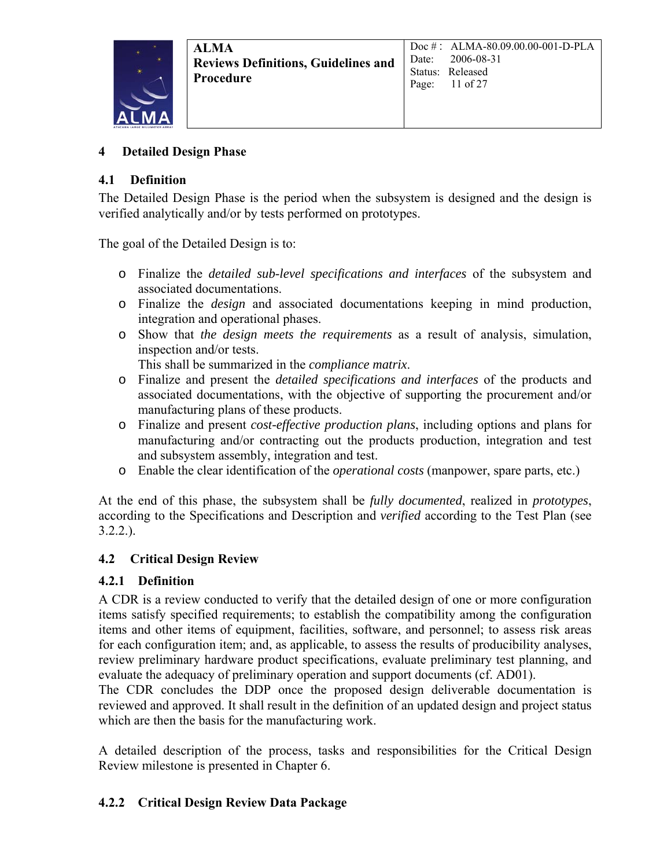

#### **4 Detailed Design Phase**

#### **4.1 Definition**

The Detailed Design Phase is the period when the subsystem is designed and the design is verified analytically and/or by tests performed on prototypes.

The goal of the Detailed Design is to:

- o Finalize the *detailed sub-level specifications and interfaces* of the subsystem and associated documentations.
- o Finalize the *design* and associated documentations keeping in mind production, integration and operational phases.
- o Show that *the design meets the requirements* as a result of analysis, simulation, inspection and/or tests.

This shall be summarized in the *compliance matrix*.

- o Finalize and present the *detailed specifications and interfaces* of the products and associated documentations, with the objective of supporting the procurement and/or manufacturing plans of these products.
- o Finalize and present *cost-effective production plans*, including options and plans for manufacturing and/or contracting out the products production, integration and test and subsystem assembly, integration and test.
- o Enable the clear identification of the *operational costs* (manpower, spare parts, etc.)

At the end of this phase, the subsystem shall be *fully documented*, realized in *prototypes*, according to the Specifications and Description and *verified* according to the Test Plan (see  $3.2.2.$ ).

### **4.2 Critical Design Review**

### **4.2.1 Definition**

A CDR is a review conducted to verify that the detailed design of one or more configuration items satisfy specified requirements; to establish the compatibility among the configuration items and other items of equipment, facilities, software, and personnel; to assess risk areas for each configuration item; and, as applicable, to assess the results of producibility analyses, review preliminary hardware product specifications, evaluate preliminary test planning, and evaluate the adequacy of preliminary operation and support documents (cf. AD01).

The CDR concludes the DDP once the proposed design deliverable documentation is reviewed and approved. It shall result in the definition of an updated design and project status which are then the basis for the manufacturing work.

A detailed description of the process, tasks and responsibilities for the Critical Design Review milestone is presented in Chapter 6.

### **4.2.2 Critical Design Review Data Package**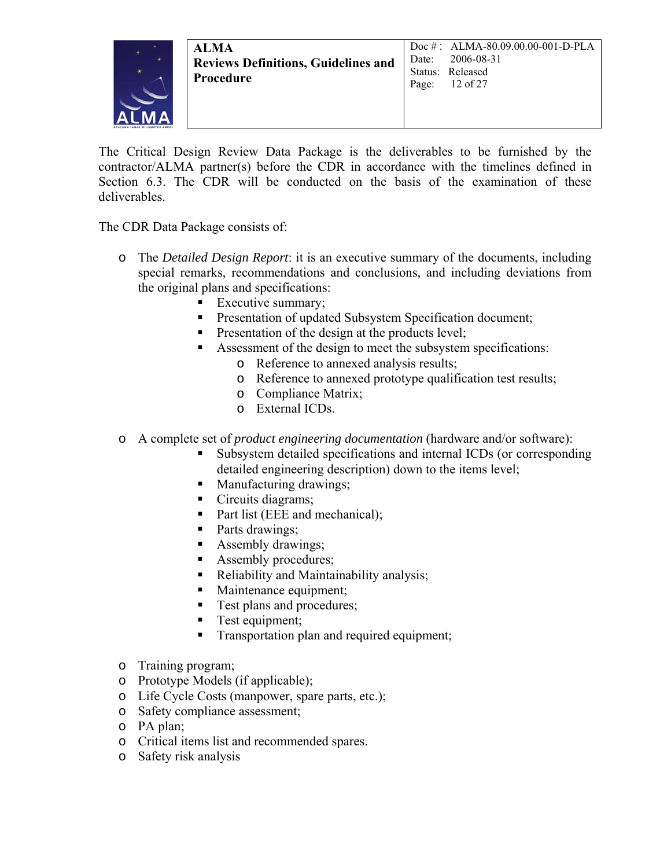

The Critical Design Review Data Package is the deliverables to be furnished by the contractor/ALMA partner(s) before the CDR in accordance with the timelines defined in Section 6.3. The CDR will be conducted on the basis of the examination of these deliverables.

The CDR Data Package consists of:

- o The *Detailed Design Report*: it is an executive summary of the documents, including special remarks, recommendations and conclusions, and including deviations from the original plans and specifications:
	- Executive summary;
	- **Presentation of updated Subsystem Specification document;**
	- **Presentation of the design at the products level;**
	- Assessment of the design to meet the subsystem specifications:
		- o Reference to annexed analysis results;
		- o Reference to annexed prototype qualification test results;
		- o Compliance Matrix;
		- o External ICDs.
- o A complete set of *product engineering documentation* (hardware and/or software):
	- Subsystem detailed specifications and internal ICDs (or corresponding detailed engineering description) down to the items level;
	- Manufacturing drawings;
	- Circuits diagrams;
	- Part list (EEE and mechanical);
	- Parts drawings;
	- Assembly drawings;
	- Assembly procedures;
	- Reliability and Maintainability analysis;
	- Maintenance equipment;
	- **Test plans and procedures;**
	- **Test equipment;**
	- **Transportation plan and required equipment;**
- o Training program;
- o Prototype Models (if applicable);
- o Life Cycle Costs (manpower, spare parts, etc.);
- o Safety compliance assessment;
- o PA plan;
- o Critical items list and recommended spares.
- o Safety risk analysis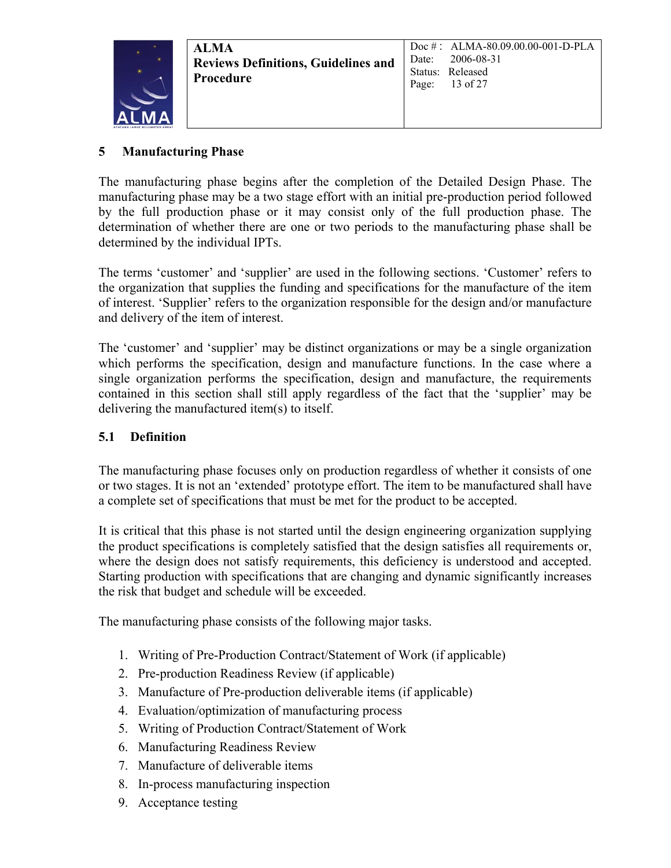

### **5 Manufacturing Phase**

The manufacturing phase begins after the completion of the Detailed Design Phase. The manufacturing phase may be a two stage effort with an initial pre-production period followed by the full production phase or it may consist only of the full production phase. The determination of whether there are one or two periods to the manufacturing phase shall be determined by the individual IPTs.

The terms 'customer' and 'supplier' are used in the following sections. 'Customer' refers to the organization that supplies the funding and specifications for the manufacture of the item of interest. 'Supplier' refers to the organization responsible for the design and/or manufacture and delivery of the item of interest.

The 'customer' and 'supplier' may be distinct organizations or may be a single organization which performs the specification, design and manufacture functions. In the case where a single organization performs the specification, design and manufacture, the requirements contained in this section shall still apply regardless of the fact that the 'supplier' may be delivering the manufactured item(s) to itself.

#### **5.1 Definition**

The manufacturing phase focuses only on production regardless of whether it consists of one or two stages. It is not an 'extended' prototype effort. The item to be manufactured shall have a complete set of specifications that must be met for the product to be accepted.

It is critical that this phase is not started until the design engineering organization supplying the product specifications is completely satisfied that the design satisfies all requirements or, where the design does not satisfy requirements, this deficiency is understood and accepted. Starting production with specifications that are changing and dynamic significantly increases the risk that budget and schedule will be exceeded.

The manufacturing phase consists of the following major tasks.

- 1. Writing of Pre-Production Contract/Statement of Work (if applicable)
- 2. Pre-production Readiness Review (if applicable)
- 3. Manufacture of Pre-production deliverable items (if applicable)
- 4. Evaluation/optimization of manufacturing process
- 5. Writing of Production Contract/Statement of Work
- 6. Manufacturing Readiness Review
- 7. Manufacture of deliverable items
- 8. In-process manufacturing inspection
- 9. Acceptance testing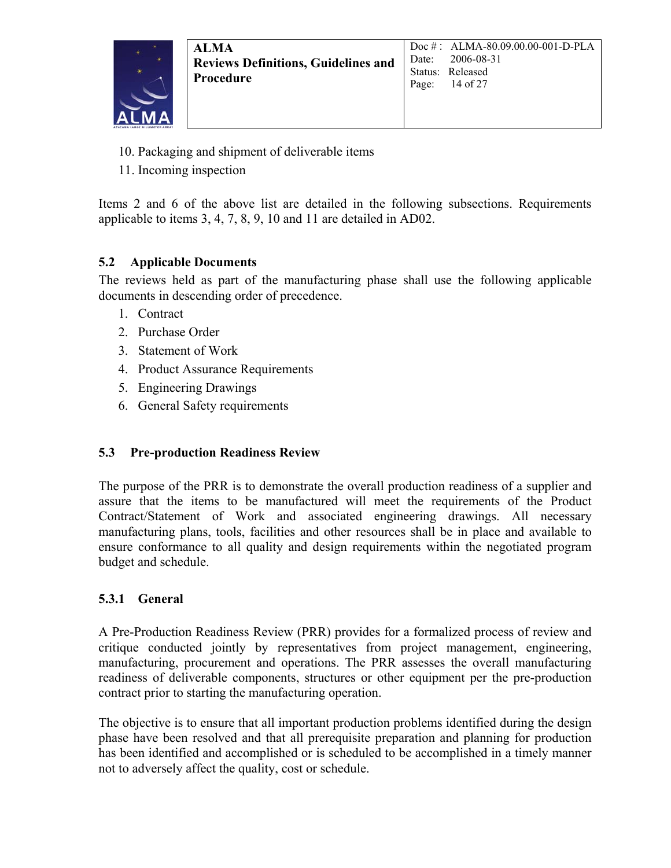

- 10. Packaging and shipment of deliverable items
- 11. Incoming inspection

Items 2 and 6 of the above list are detailed in the following subsections. Requirements applicable to items 3, 4, 7, 8, 9, 10 and 11 are detailed in AD02.

### **5.2 Applicable Documents**

The reviews held as part of the manufacturing phase shall use the following applicable documents in descending order of precedence.

- 1. Contract
- 2. Purchase Order
- 3. Statement of Work
- 4. Product Assurance Requirements
- 5. Engineering Drawings
- 6. General Safety requirements

### **5.3 Pre-production Readiness Review**

The purpose of the PRR is to demonstrate the overall production readiness of a supplier and assure that the items to be manufactured will meet the requirements of the Product Contract/Statement of Work and associated engineering drawings. All necessary manufacturing plans, tools, facilities and other resources shall be in place and available to ensure conformance to all quality and design requirements within the negotiated program budget and schedule.

### **5.3.1 General**

A Pre-Production Readiness Review (PRR) provides for a formalized process of review and critique conducted jointly by representatives from project management, engineering, manufacturing, procurement and operations. The PRR assesses the overall manufacturing readiness of deliverable components, structures or other equipment per the pre-production contract prior to starting the manufacturing operation.

The objective is to ensure that all important production problems identified during the design phase have been resolved and that all prerequisite preparation and planning for production has been identified and accomplished or is scheduled to be accomplished in a timely manner not to adversely affect the quality, cost or schedule.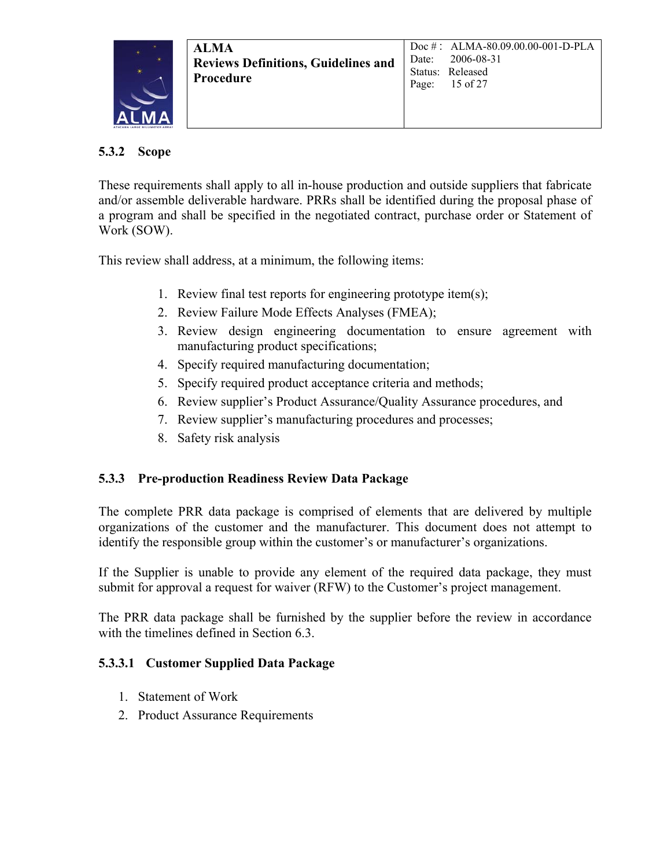

### **5.3.2 Scope**

These requirements shall apply to all in-house production and outside suppliers that fabricate and/or assemble deliverable hardware. PRRs shall be identified during the proposal phase of a program and shall be specified in the negotiated contract, purchase order or Statement of Work (SOW).

This review shall address, at a minimum, the following items:

- 1. Review final test reports for engineering prototype item(s);
- 2. Review Failure Mode Effects Analyses (FMEA);
- 3. Review design engineering documentation to ensure agreement with manufacturing product specifications;
- 4. Specify required manufacturing documentation;
- 5. Specify required product acceptance criteria and methods;
- 6. Review supplier's Product Assurance/Quality Assurance procedures, and
- 7. Review supplier's manufacturing procedures and processes;
- 8. Safety risk analysis

### **5.3.3 Pre-production Readiness Review Data Package**

The complete PRR data package is comprised of elements that are delivered by multiple organizations of the customer and the manufacturer. This document does not attempt to identify the responsible group within the customer's or manufacturer's organizations.

If the Supplier is unable to provide any element of the required data package, they must submit for approval a request for waiver (RFW) to the Customer's project management.

The PRR data package shall be furnished by the supplier before the review in accordance with the timelines defined in Section 6.3.

### **5.3.3.1 Customer Supplied Data Package**

- 1. Statement of Work
- 2. Product Assurance Requirements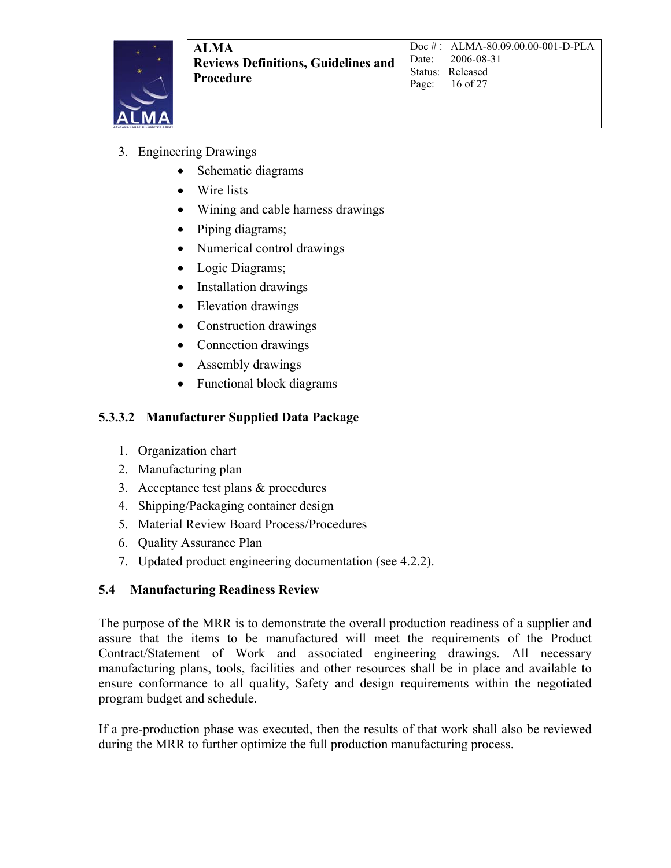

- 3. Engineering Drawings
	- Schematic diagrams
	- Wire lists
	- Wining and cable harness drawings
	- Piping diagrams;
	- Numerical control drawings
	- Logic Diagrams;
	- Installation drawings
	- Elevation drawings
	- Construction drawings
	- Connection drawings
	- Assembly drawings
	- Functional block diagrams

#### **5.3.3.2 Manufacturer Supplied Data Package**

- 1. Organization chart
- 2. Manufacturing plan
- 3. Acceptance test plans & procedures
- 4. Shipping/Packaging container design
- 5. Material Review Board Process/Procedures
- 6. Quality Assurance Plan
- 7. Updated product engineering documentation (see 4.2.2).

#### **5.4 Manufacturing Readiness Review**

The purpose of the MRR is to demonstrate the overall production readiness of a supplier and assure that the items to be manufactured will meet the requirements of the Product Contract/Statement of Work and associated engineering drawings. All necessary manufacturing plans, tools, facilities and other resources shall be in place and available to ensure conformance to all quality, Safety and design requirements within the negotiated program budget and schedule.

If a pre-production phase was executed, then the results of that work shall also be reviewed during the MRR to further optimize the full production manufacturing process.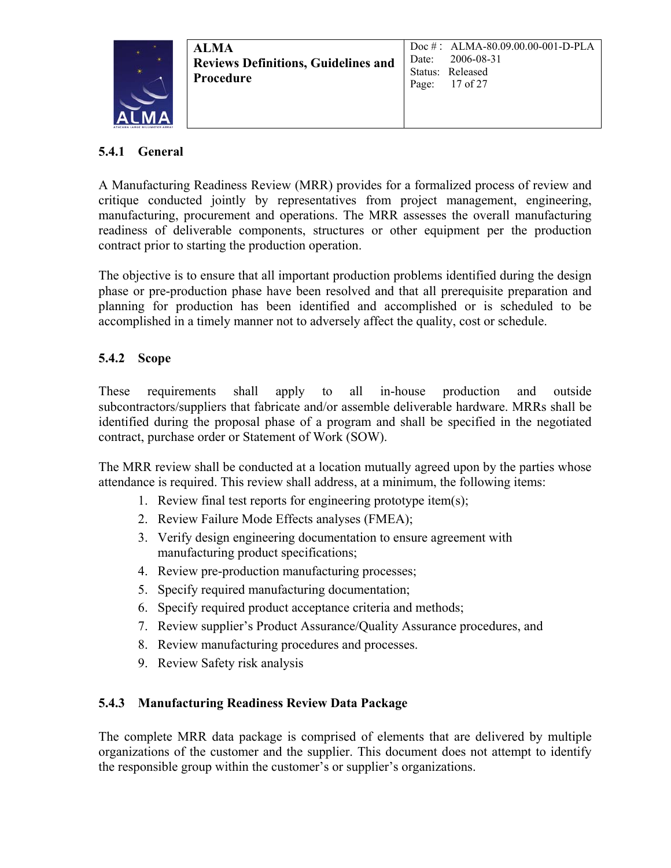

### **5.4.1 General**

A Manufacturing Readiness Review (MRR) provides for a formalized process of review and critique conducted jointly by representatives from project management, engineering, manufacturing, procurement and operations. The MRR assesses the overall manufacturing readiness of deliverable components, structures or other equipment per the production contract prior to starting the production operation.

The objective is to ensure that all important production problems identified during the design phase or pre-production phase have been resolved and that all prerequisite preparation and planning for production has been identified and accomplished or is scheduled to be accomplished in a timely manner not to adversely affect the quality, cost or schedule.

### **5.4.2 Scope**

These requirements shall apply to all in-house production and outside subcontractors/suppliers that fabricate and/or assemble deliverable hardware. MRRs shall be identified during the proposal phase of a program and shall be specified in the negotiated contract, purchase order or Statement of Work (SOW).

The MRR review shall be conducted at a location mutually agreed upon by the parties whose attendance is required. This review shall address, at a minimum, the following items:

- 1. Review final test reports for engineering prototype item(s);
- 2. Review Failure Mode Effects analyses (FMEA);
- 3. Verify design engineering documentation to ensure agreement with manufacturing product specifications;
- 4. Review pre-production manufacturing processes;
- 5. Specify required manufacturing documentation;
- 6. Specify required product acceptance criteria and methods;
- 7. Review supplier's Product Assurance/Quality Assurance procedures, and
- 8. Review manufacturing procedures and processes.
- 9. Review Safety risk analysis

### **5.4.3 Manufacturing Readiness Review Data Package**

The complete MRR data package is comprised of elements that are delivered by multiple organizations of the customer and the supplier. This document does not attempt to identify the responsible group within the customer's or supplier's organizations.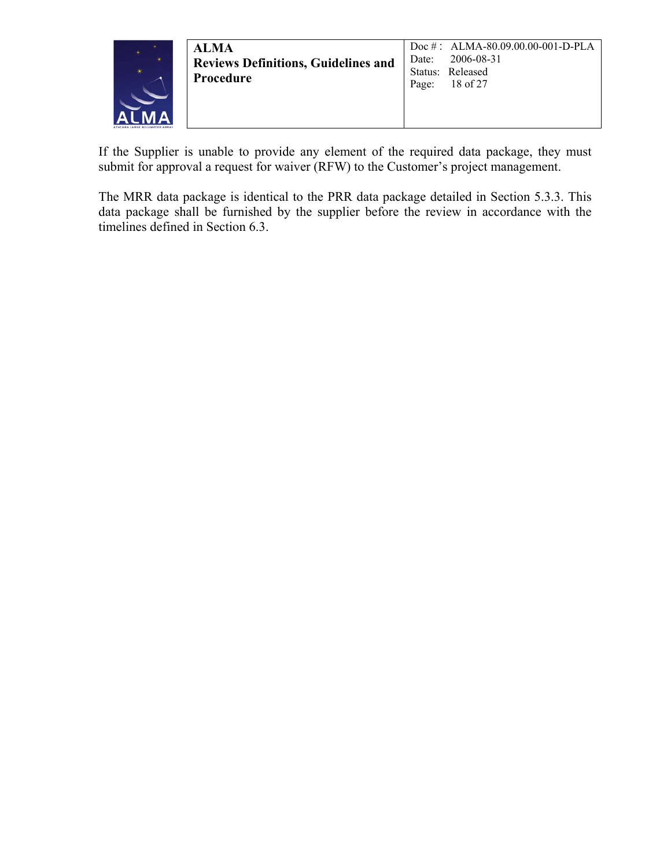

| <b>ALMA</b><br><b>Reviews Definitions, Guidelines and</b><br><b>Procedure</b> | Doc $\#$ : ALMA-80.09.00.00-001-D-PLA<br>Date: 2006-08-31<br>Status: Released<br>Page: $18$ of 27 |
|-------------------------------------------------------------------------------|---------------------------------------------------------------------------------------------------|
|                                                                               |                                                                                                   |

If the Supplier is unable to provide any element of the required data package, they must submit for approval a request for waiver (RFW) to the Customer's project management.

The MRR data package is identical to the PRR data package detailed in Section 5.3.3. This data package shall be furnished by the supplier before the review in accordance with the timelines defined in Section 6.3.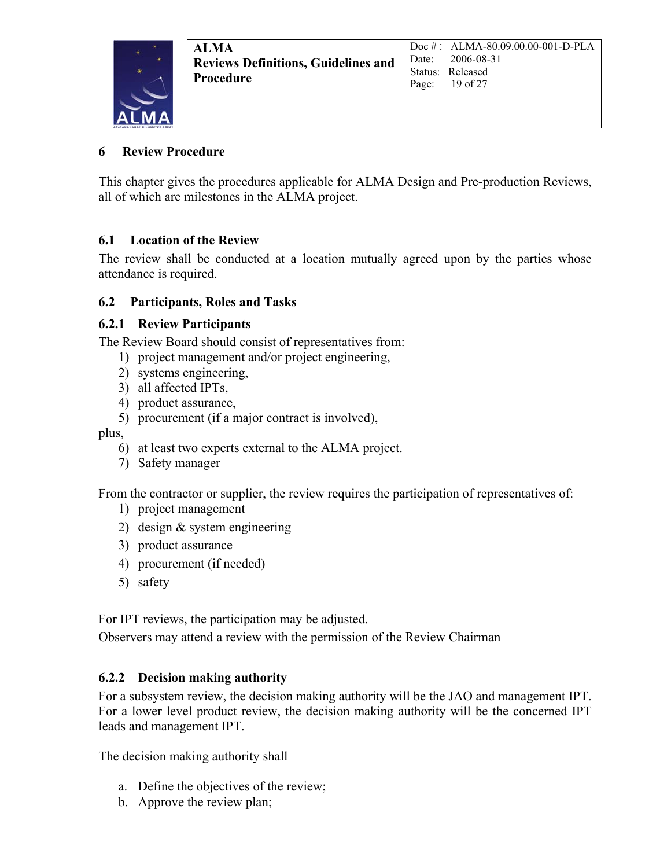### **6 Review Procedure**

This chapter gives the procedures applicable for ALMA Design and Pre-production Reviews, all of which are milestones in the ALMA project.

### **6.1 Location of the Review**

The review shall be conducted at a location mutually agreed upon by the parties whose attendance is required.

### **6.2 Participants, Roles and Tasks**

#### **6.2.1 Review Participants**

The Review Board should consist of representatives from:

- 1) project management and/or project engineering,
- 2) systems engineering,
- 3) all affected IPTs,
- 4) product assurance,
- 5) procurement (if a major contract is involved),

plus,

- 6) at least two experts external to the ALMA project.
- 7) Safety manager

From the contractor or supplier, the review requires the participation of representatives of:

- 1) project management
- 2) design & system engineering
- 3) product assurance
- 4) procurement (if needed)
- 5) safety

For IPT reviews, the participation may be adjusted.

Observers may attend a review with the permission of the Review Chairman

#### **6.2.2 Decision making authority**

For a subsystem review, the decision making authority will be the JAO and management IPT. For a lower level product review, the decision making authority will be the concerned IPT leads and management IPT.

The decision making authority shall

- a. Define the objectives of the review;
- b. Approve the review plan;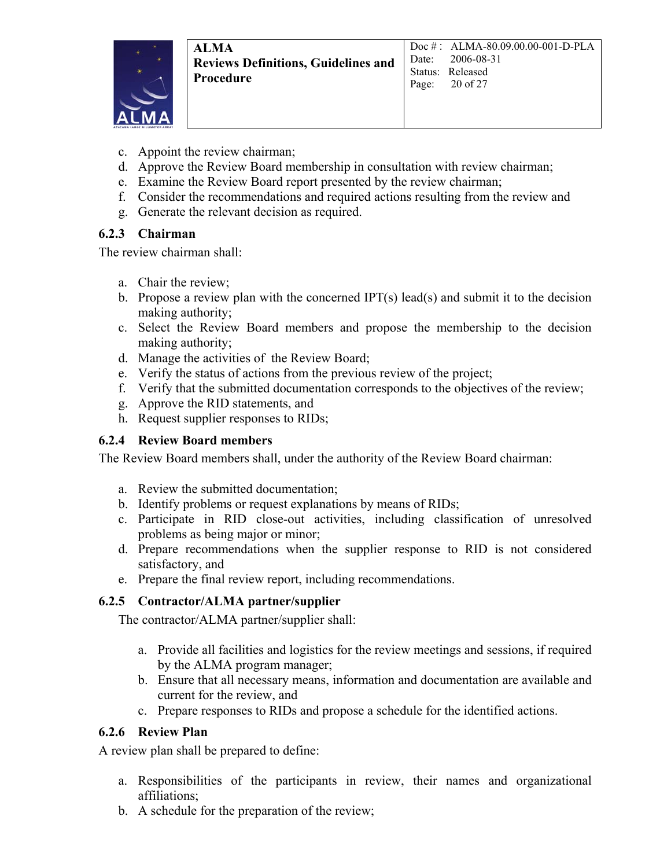

- c. Appoint the review chairman;
- d. Approve the Review Board membership in consultation with review chairman;
- e. Examine the Review Board report presented by the review chairman;
- f. Consider the recommendations and required actions resulting from the review and
- g. Generate the relevant decision as required.

### **6.2.3 Chairman**

The review chairman shall:

- a. Chair the review;
- b. Propose a review plan with the concerned IPT(s) lead(s) and submit it to the decision making authority;
- c. Select the Review Board members and propose the membership to the decision making authority;
- d. Manage the activities of the Review Board;
- e. Verify the status of actions from the previous review of the project;
- f. Verify that the submitted documentation corresponds to the objectives of the review;
- g. Approve the RID statements, and
- h. Request supplier responses to RIDs;

### **6.2.4 Review Board members**

The Review Board members shall, under the authority of the Review Board chairman:

- a. Review the submitted documentation;
- b. Identify problems or request explanations by means of RIDs;
- c. Participate in RID close-out activities, including classification of unresolved problems as being major or minor;
- d. Prepare recommendations when the supplier response to RID is not considered satisfactory, and
- e. Prepare the final review report, including recommendations.

### **6.2.5 Contractor/ALMA partner/supplier**

The contractor/ALMA partner/supplier shall:

- a. Provide all facilities and logistics for the review meetings and sessions, if required by the ALMA program manager;
- b. Ensure that all necessary means, information and documentation are available and current for the review, and
- c. Prepare responses to RIDs and propose a schedule for the identified actions.

#### **6.2.6 Review Plan**

A review plan shall be prepared to define:

- a. Responsibilities of the participants in review, their names and organizational affiliations;
- b. A schedule for the preparation of the review;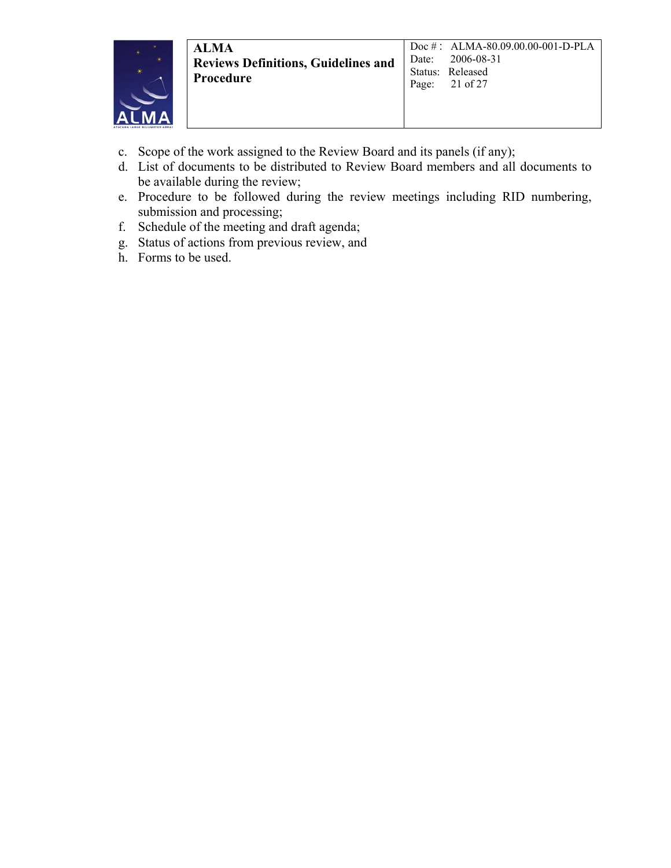

- c. Scope of the work assigned to the Review Board and its panels (if any);
- d. List of documents to be distributed to Review Board members and all documents to be available during the review;
- e. Procedure to be followed during the review meetings including RID numbering, submission and processing;
- f. Schedule of the meeting and draft agenda;
- g. Status of actions from previous review, and
- h. Forms to be used.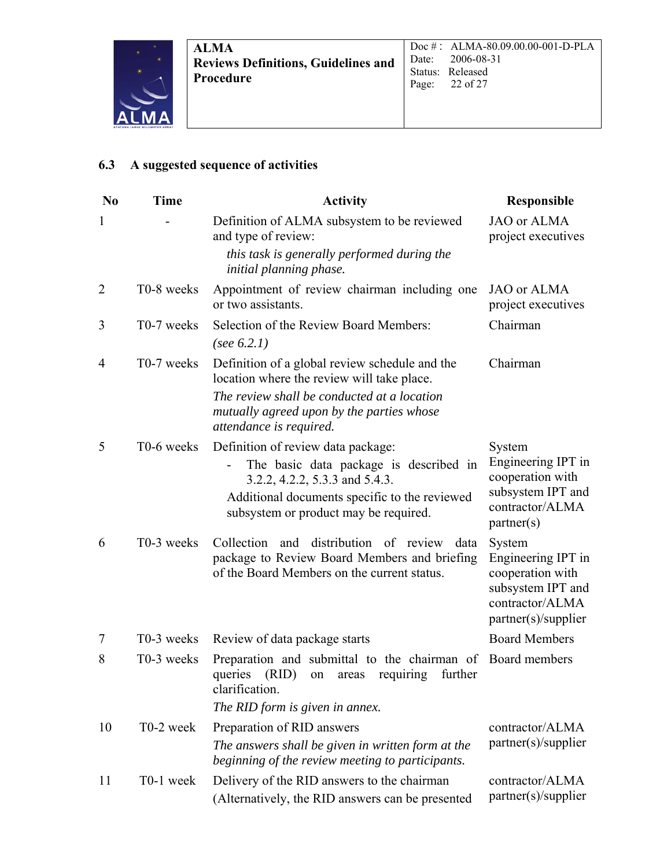

### **6.3 A suggested sequence of activities**

| N <sub>0</sub> | <b>Time</b>            | <b>Activity</b>                                                                                                                                                                                          | <b>Responsible</b>                                                                                              |
|----------------|------------------------|----------------------------------------------------------------------------------------------------------------------------------------------------------------------------------------------------------|-----------------------------------------------------------------------------------------------------------------|
| 1              |                        | Definition of ALMA subsystem to be reviewed<br>and type of review:                                                                                                                                       | JAO or ALMA<br>project executives                                                                               |
|                |                        | this task is generally performed during the<br>initial planning phase.                                                                                                                                   |                                                                                                                 |
| $\overline{2}$ | T0-8 weeks             | Appointment of review chairman including one<br>or two assistants.                                                                                                                                       | JAO or ALMA<br>project executives                                                                               |
| 3              | T0-7 weeks             | Selection of the Review Board Members:<br>(see $6.2.1$ )                                                                                                                                                 | Chairman                                                                                                        |
| 4              | T0-7 weeks             | Definition of a global review schedule and the<br>location where the review will take place.                                                                                                             | Chairman                                                                                                        |
|                |                        | The review shall be conducted at a location<br>mutually agreed upon by the parties whose<br>attendance is required.                                                                                      |                                                                                                                 |
| 5              | T0-6 weeks             | Definition of review data package:<br>The basic data package is described in<br>3.2.2, 4.2.2, 5.3.3 and 5.4.3.<br>Additional documents specific to the reviewed<br>subsystem or product may be required. | System<br>Engineering IPT in<br>cooperation with<br>subsystem IPT and<br>contractor/ALMA<br>partner(s)          |
| 6              | T0-3 weeks             | and distribution of review<br>Collection<br>data<br>package to Review Board Members and briefing<br>of the Board Members on the current status.                                                          | System<br>Engineering IPT in<br>cooperation with<br>subsystem IPT and<br>contractor/ALMA<br>partner(s)/supplier |
| 7              | T0-3 weeks             | Review of data package starts                                                                                                                                                                            | <b>Board Members</b>                                                                                            |
| 8              | T0-3 weeks             | Preparation and submittal to the chairman of Board members<br>queries<br>(RID)<br>requiring<br>further<br>on<br>areas<br>clarification.                                                                  |                                                                                                                 |
|                |                        | The RID form is given in annex.                                                                                                                                                                          |                                                                                                                 |
| 10             | T <sub>0</sub> -2 week | Preparation of RID answers<br>The answers shall be given in written form at the<br>beginning of the review meeting to participants.                                                                      | contractor/ALMA<br>partner(s)/supplier                                                                          |
| 11             | T0-1 week              | Delivery of the RID answers to the chairman<br>(Alternatively, the RID answers can be presented                                                                                                          | contractor/ALMA<br>partner(s)/supplier                                                                          |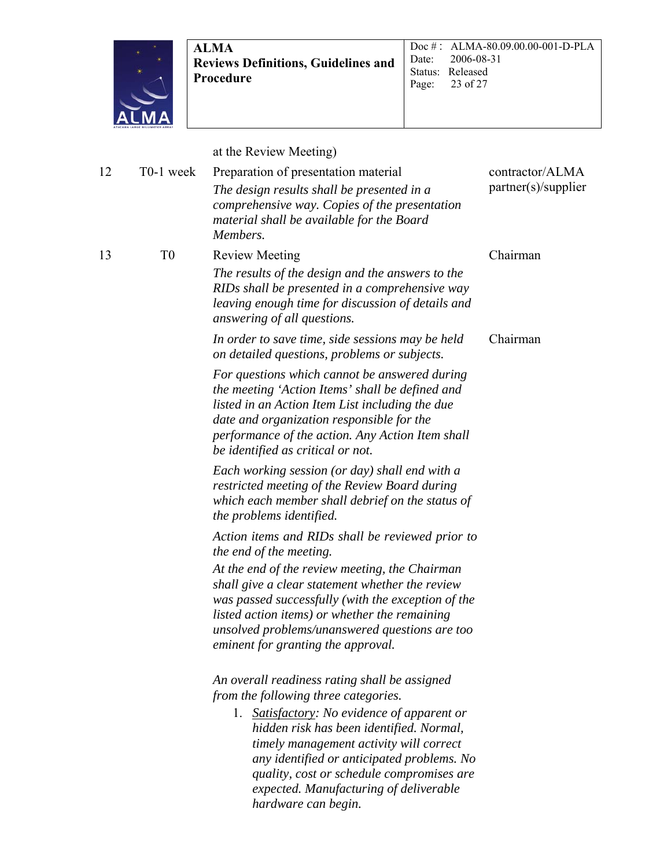

Doc # : ALMA-80.09.00.00-001-D-PLA Date: 2006-08-31 Status: Released<br>Page: 23 of 27 23 of 27

at the Review Meeting)

| 12 | T0-1 week      | Preparation of presentation material<br>The design results shall be presented in a<br>comprehensive way. Copies of the presentation<br>material shall be available for the Board<br>Members.                                                                                                     | contractor/ALMA<br>partner(s)/supplier |
|----|----------------|--------------------------------------------------------------------------------------------------------------------------------------------------------------------------------------------------------------------------------------------------------------------------------------------------|----------------------------------------|
| 13 | T <sub>0</sub> | <b>Review Meeting</b><br>The results of the design and the answers to the<br>RIDs shall be presented in a comprehensive way<br>leaving enough time for discussion of details and<br>answering of all questions.                                                                                  | Chairman                               |
|    |                | In order to save time, side sessions may be held<br>on detailed questions, problems or subjects.                                                                                                                                                                                                 | Chairman                               |
|    |                | For questions which cannot be answered during<br>the meeting 'Action Items' shall be defined and<br>listed in an Action Item List including the due<br>date and organization responsible for the<br>performance of the action. Any Action Item shall<br>be identified as critical or not.        |                                        |
|    |                | Each working session (or day) shall end with a<br>restricted meeting of the Review Board during<br>which each member shall debrief on the status of<br>the problems identified.                                                                                                                  |                                        |
|    |                | Action items and RIDs shall be reviewed prior to<br>the end of the meeting.                                                                                                                                                                                                                      |                                        |
|    |                | At the end of the review meeting, the Chairman<br>shall give a clear statement whether the review<br>was passed successfully (with the exception of the<br>listed action items) or whether the remaining<br>unsolved problems/unanswered questions are too<br>eminent for granting the approval. |                                        |
|    |                | An overall readiness rating shall be assigned<br>from the following three categories.                                                                                                                                                                                                            |                                        |
|    |                | 1. Satisfactory: No evidence of apparent or<br>hidden risk has been identified. Normal,<br>timely management activity will correct<br>any identified or anticipated problems. No<br>quality, cost or schedule compromises are<br>expected. Manufacturing of deliverable<br>hardware can begin.   |                                        |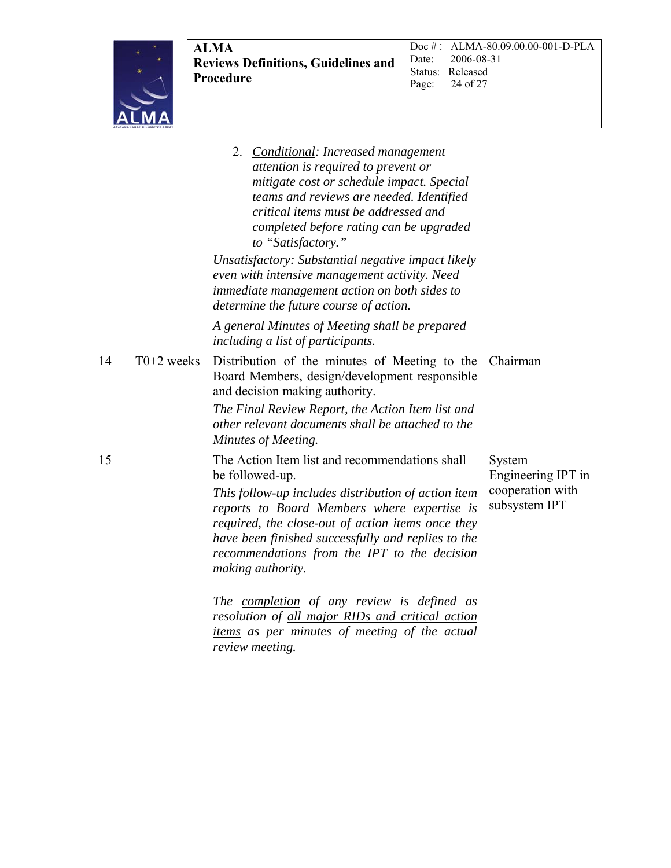2. *Conditional: Increased management attention is required to prevent or mitigate cost or schedule impact. Special teams and reviews are needed. Identified critical items must be addressed and completed before rating can be upgraded to "Satisfactory." Unsatisfactory: Substantial negative impact likely even with intensive management activity. Need immediate management action on both sides to determine the future course of action. A general Minutes of Meeting shall be prepared including a list of participants.*  14 T0+2 weeks Distribution of the minutes of Meeting to the Chairman Board Members, design/development responsible and decision making authority. *The Final Review Report, the Action Item list and other relevant documents shall be attached to the Minutes of Meeting.*  15 The Action Item list and recommendations shall be followed-up. *This follow-up includes distribution of action item reports to Board Members where expertise is required, the close-out of action items once they have been finished successfully and replies to the recommendations from the IPT to the decision making authority.*  System Engineering IPT in cooperation with subsystem IPT

*The completion of any review is defined as resolution of all major RIDs and critical action items as per minutes of meeting of the actual review meeting.*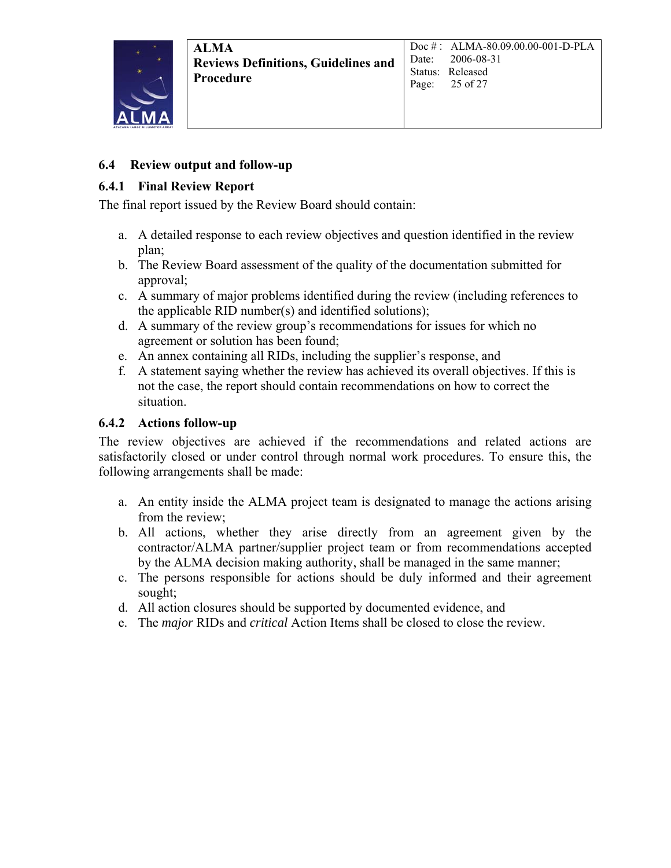### **6.4 Review output and follow-up**

#### **6.4.1 Final Review Report**

The final report issued by the Review Board should contain:

- a. A detailed response to each review objectives and question identified in the review plan;
- b. The Review Board assessment of the quality of the documentation submitted for approval;
- c. A summary of major problems identified during the review (including references to the applicable RID number(s) and identified solutions);
- d. A summary of the review group's recommendations for issues for which no agreement or solution has been found;
- e. An annex containing all RIDs, including the supplier's response, and
- f. A statement saying whether the review has achieved its overall objectives. If this is not the case, the report should contain recommendations on how to correct the situation.

### **6.4.2 Actions follow-up**

The review objectives are achieved if the recommendations and related actions are satisfactorily closed or under control through normal work procedures. To ensure this, the following arrangements shall be made:

- a. An entity inside the ALMA project team is designated to manage the actions arising from the review;
- b. All actions, whether they arise directly from an agreement given by the contractor/ALMA partner/supplier project team or from recommendations accepted by the ALMA decision making authority, shall be managed in the same manner;
- c. The persons responsible for actions should be duly informed and their agreement sought;
- d. All action closures should be supported by documented evidence, and
- e. The *major* RIDs and *critical* Action Items shall be closed to close the review.

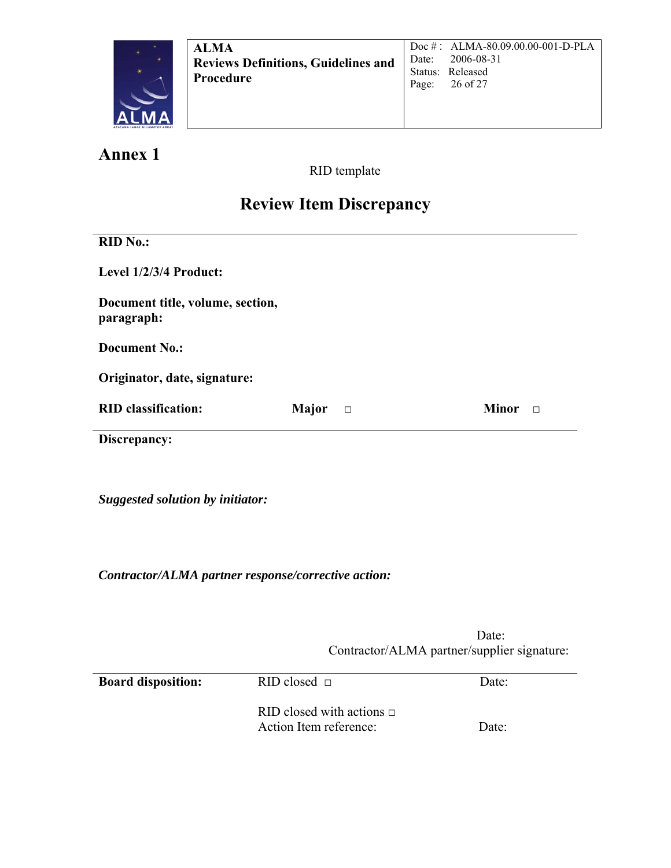

**Annex 1**

RID template

## **Review Item Discrepancy**

| <b>RID No.:</b>                                |                 |                        |
|------------------------------------------------|-----------------|------------------------|
| Level 1/2/3/4 Product:                         |                 |                        |
| Document title, volume, section,<br>paragraph: |                 |                        |
| <b>Document No.:</b>                           |                 |                        |
| Originator, date, signature:                   |                 |                        |
| <b>RID</b> classification:                     | Major<br>$\Box$ | <b>Minor</b><br>$\Box$ |
| Discrepancy:                                   |                 |                        |
|                                                |                 |                        |
| <b>Suggested solution by initiator:</b>        |                 |                        |

*Contractor/ALMA partner response/corrective action:* 

**Date:** Contractor/ALMA partner/supplier signature:

| <b>Board disposition:</b> | RID closed $\Box$                                        | Date: |
|---------------------------|----------------------------------------------------------|-------|
|                           | RID closed with actions $\Box$<br>Action Item reference: | Date: |